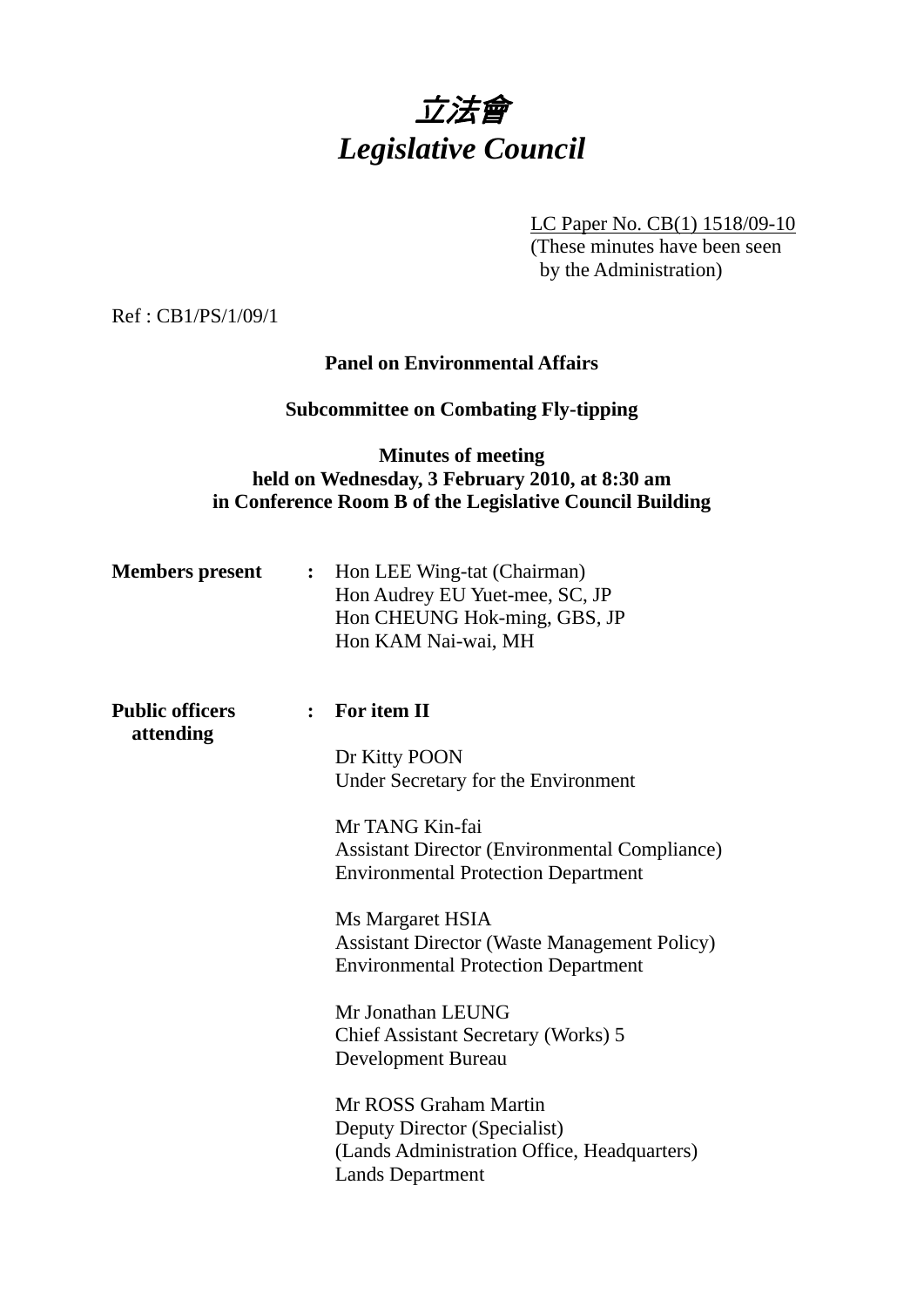

LC Paper No. CB(1) 1518/09-10

(These minutes have been seen by the Administration)

Ref : CB1/PS/1/09/1

## **Panel on Environmental Affairs**

# **Subcommittee on Combating Fly-tipping**

# **Minutes of meeting held on Wednesday, 3 February 2010, at 8:30 am in Conference Room B of the Legislative Council Building**

| <b>Members</b> present | $\ddot{\cdot}$ | Hon LEE Wing-tat (Chairman)<br>Hon Audrey EU Yuet-mee, SC, JP<br>Hon CHEUNG Hok-ming, GBS, JP<br>Hon KAM Nai-wai, MH            |
|------------------------|----------------|---------------------------------------------------------------------------------------------------------------------------------|
| <b>Public officers</b> |                | $:$ For item II                                                                                                                 |
| attending              |                | Dr Kitty POON<br>Under Secretary for the Environment                                                                            |
|                        |                | Mr TANG Kin-fai<br><b>Assistant Director (Environmental Compliance)</b><br><b>Environmental Protection Department</b>           |
|                        |                | Ms Margaret HSIA<br><b>Assistant Director (Waste Management Policy)</b><br><b>Environmental Protection Department</b>           |
|                        |                | Mr Jonathan LEUNG<br>Chief Assistant Secretary (Works) 5<br>Development Bureau                                                  |
|                        |                | Mr ROSS Graham Martin<br>Deputy Director (Specialist)<br>(Lands Administration Office, Headquarters)<br><b>Lands Department</b> |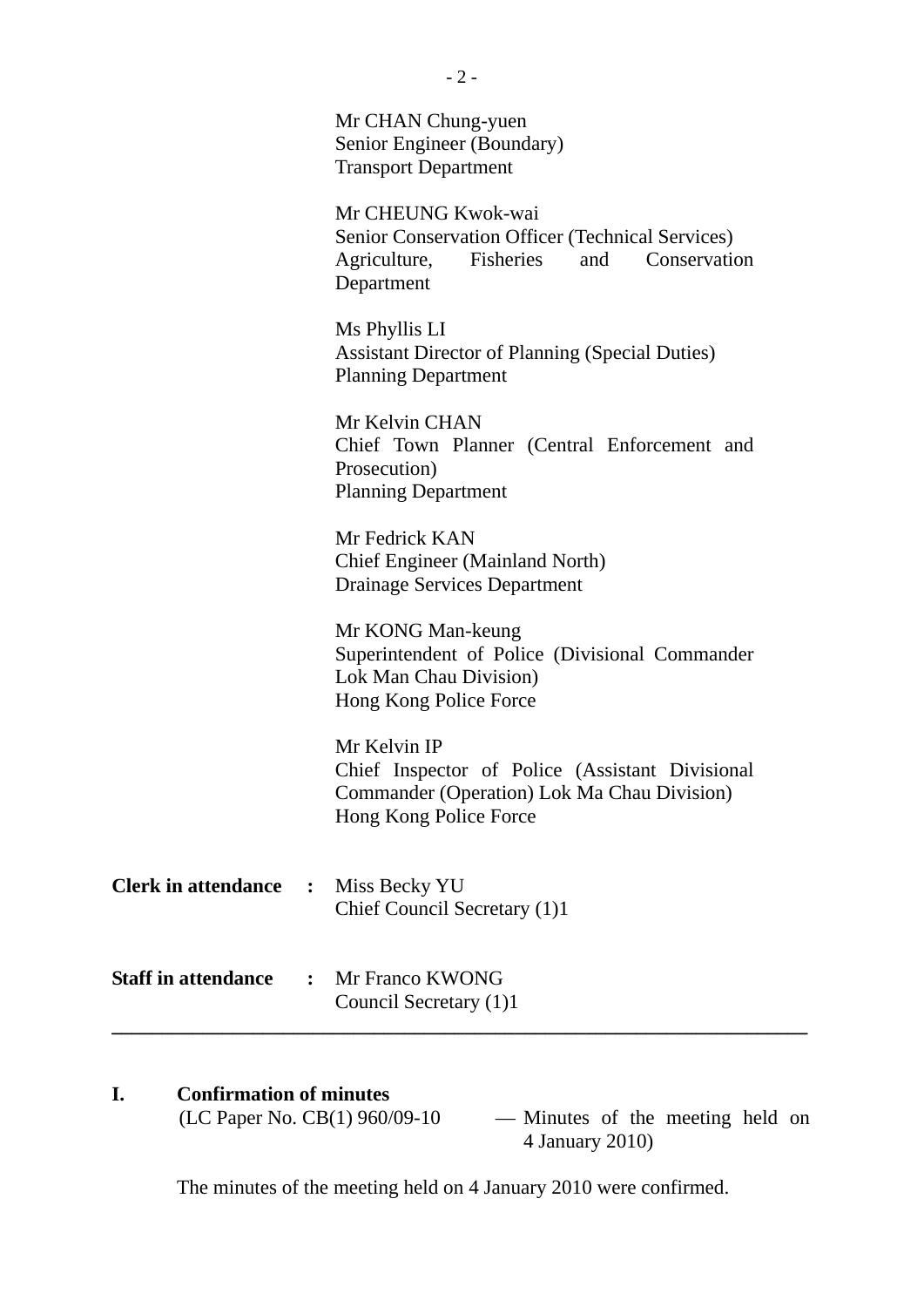|                            |                | Mr CHAN Chung-yuen<br>Senior Engineer (Boundary)<br><b>Transport Department</b>                                                          |
|----------------------------|----------------|------------------------------------------------------------------------------------------------------------------------------------------|
|                            |                | Mr CHEUNG Kwok-wai<br>Senior Conservation Officer (Technical Services)<br>Fisheries and<br>Agriculture,<br>Conservation<br>Department    |
|                            |                | Ms Phyllis LI<br><b>Assistant Director of Planning (Special Duties)</b><br><b>Planning Department</b>                                    |
|                            |                | Mr Kelvin CHAN<br>Chief Town Planner (Central Enforcement and<br>Prosecution)<br><b>Planning Department</b>                              |
|                            |                | Mr Fedrick KAN<br><b>Chief Engineer (Mainland North)</b><br>Drainage Services Department                                                 |
|                            |                | Mr KONG Man-keung<br>Superintendent of Police (Divisional Commander<br>Lok Man Chau Division)<br>Hong Kong Police Force                  |
|                            |                | Mr Kelvin IP<br>Chief Inspector of Police (Assistant Divisional<br>Commander (Operation) Lok Ma Chau Division)<br>Hong Kong Police Force |
| <b>Clerk in attendance</b> | $\ddot{\cdot}$ | Miss Becky YU<br>Chief Council Secretary (1)1                                                                                            |
| <b>Staff in attendance</b> | $\ddot{\cdot}$ | Mr Franco KWONG<br>Council Secretary (1)1                                                                                                |

# **I.** Confirmation of minutes<br>(LC Paper No. CB(1) 960/09-10

 $-$  Minutes of the meeting held on 4 January 2010)

The minutes of the meeting held on 4 January 2010 were confirmed.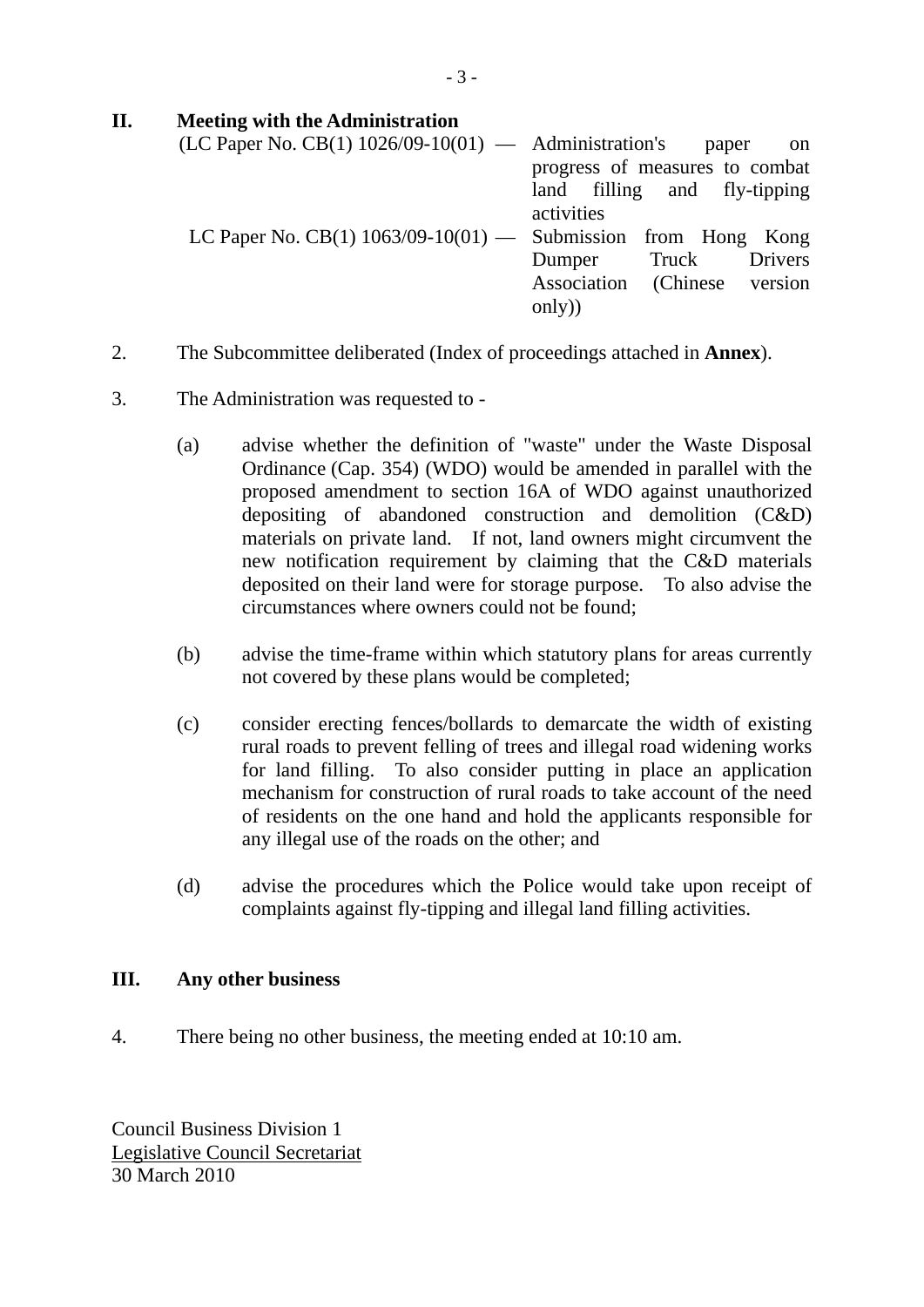# **II. Meeting with the Administration**

| $(LC$ Paper No. $CB(1)$ 1026/09-10(01) — Administration's paper     | on                             |
|---------------------------------------------------------------------|--------------------------------|
|                                                                     | progress of measures to combat |
|                                                                     | land filling and fly-tipping   |
|                                                                     | activities                     |
| LC Paper No. CB $(1)$ 1063/09-10 $(01)$ — Submission from Hong Kong |                                |
|                                                                     | Dumper Truck Drivers           |
|                                                                     | Association (Chinese version   |
|                                                                     | only)                          |

- 2. The Subcommittee deliberated (Index of proceedings attached in **Annex**).
- 3. The Administration was requested to
	- (a) advise whether the definition of "waste" under the Waste Disposal Ordinance (Cap. 354) (WDO) would be amended in parallel with the proposed amendment to section 16A of WDO against unauthorized depositing of abandoned construction and demolition (C&D) materials on private land. If not, land owners might circumvent the new notification requirement by claiming that the C&D materials deposited on their land were for storage purpose. To also advise the circumstances where owners could not be found;
	- (b) advise the time-frame within which statutory plans for areas currently not covered by these plans would be completed;
	- (c) consider erecting fences/bollards to demarcate the width of existing rural roads to prevent felling of trees and illegal road widening works for land filling. To also consider putting in place an application mechanism for construction of rural roads to take account of the need of residents on the one hand and hold the applicants responsible for any illegal use of the roads on the other; and
	- (d) advise the procedures which the Police would take upon receipt of complaints against fly-tipping and illegal land filling activities.

## **III. Any other business**

4. There being no other business, the meeting ended at 10:10 am.

Council Business Division 1 Legislative Council Secretariat 30 March 2010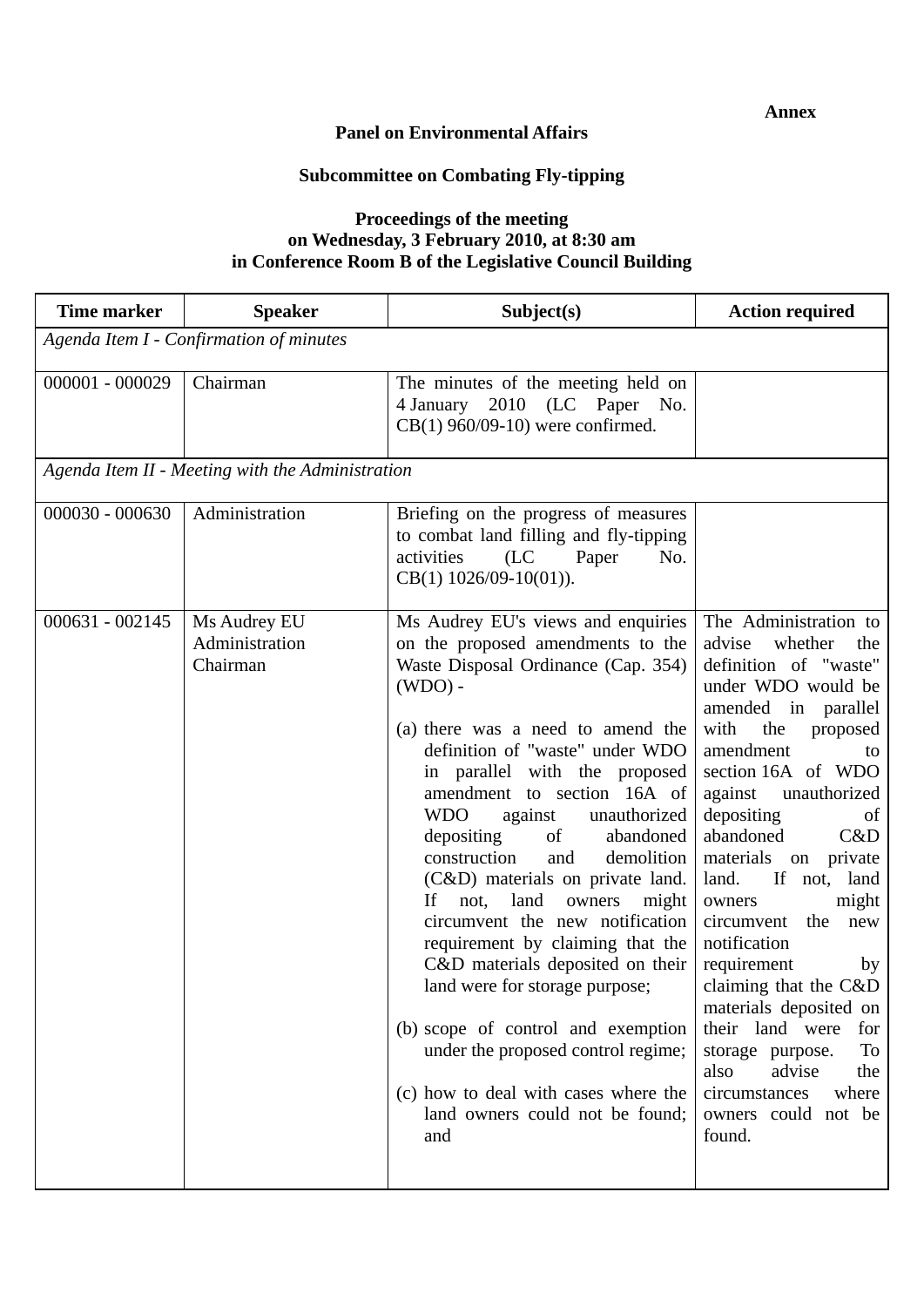#### **Panel on Environmental Affairs**

# **Subcommittee on Combating Fly-tipping**

## **Proceedings of the meeting on Wednesday, 3 February 2010, at 8:30 am in Conference Room B of the Legislative Council Building**

| <b>Time marker</b> | <b>Speaker</b>                                   | Subject(s)                                                                                                                                                                                                                                                                                                                                                                                                                                                                                                                                                                                                                                                                                                                                                                 | <b>Action required</b>                                                                                                                                                                                                                                                                                                                                                                                                                                                                                                                                                                           |  |  |  |
|--------------------|--------------------------------------------------|----------------------------------------------------------------------------------------------------------------------------------------------------------------------------------------------------------------------------------------------------------------------------------------------------------------------------------------------------------------------------------------------------------------------------------------------------------------------------------------------------------------------------------------------------------------------------------------------------------------------------------------------------------------------------------------------------------------------------------------------------------------------------|--------------------------------------------------------------------------------------------------------------------------------------------------------------------------------------------------------------------------------------------------------------------------------------------------------------------------------------------------------------------------------------------------------------------------------------------------------------------------------------------------------------------------------------------------------------------------------------------------|--|--|--|
|                    | Agenda Item I - Confirmation of minutes          |                                                                                                                                                                                                                                                                                                                                                                                                                                                                                                                                                                                                                                                                                                                                                                            |                                                                                                                                                                                                                                                                                                                                                                                                                                                                                                                                                                                                  |  |  |  |
| $000001 - 000029$  | Chairman                                         | The minutes of the meeting held on<br>2010 (LC Paper No.<br>4 January<br>$CB(1)$ 960/09-10) were confirmed.                                                                                                                                                                                                                                                                                                                                                                                                                                                                                                                                                                                                                                                                |                                                                                                                                                                                                                                                                                                                                                                                                                                                                                                                                                                                                  |  |  |  |
|                    | Agenda Item II - Meeting with the Administration |                                                                                                                                                                                                                                                                                                                                                                                                                                                                                                                                                                                                                                                                                                                                                                            |                                                                                                                                                                                                                                                                                                                                                                                                                                                                                                                                                                                                  |  |  |  |
| $000030 - 000630$  | Administration                                   | Briefing on the progress of measures<br>to combat land filling and fly-tipping<br>activities<br>(LC)<br>Paper<br>No.<br>$CB(1)$ 1026/09-10(01)).                                                                                                                                                                                                                                                                                                                                                                                                                                                                                                                                                                                                                           |                                                                                                                                                                                                                                                                                                                                                                                                                                                                                                                                                                                                  |  |  |  |
| $000631 - 002145$  | Ms Audrey EU<br>Administration<br>Chairman       | Ms Audrey EU's views and enquiries<br>on the proposed amendments to the<br>Waste Disposal Ordinance (Cap. 354)<br>$(WDO) -$<br>(a) there was a need to amend the<br>definition of "waste" under WDO<br>in parallel with the proposed<br>amendment to section 16A of<br><b>WDO</b><br>unauthorized<br>against<br>abandoned<br>depositing<br>of<br>construction<br>demolition<br>and<br>(C&D) materials on private land.<br>land<br>not,<br>owners<br>might<br>If<br>circumvent the new notification<br>requirement by claiming that the<br>C&D materials deposited on their<br>land were for storage purpose;<br>(b) scope of control and exemption<br>under the proposed control regime;<br>(c) how to deal with cases where the<br>land owners could not be found;<br>and | The Administration to<br>advise<br>whether<br>the<br>definition of "waste"<br>under WDO would be<br>amended in parallel<br>with<br>the<br>proposed<br>amendment<br>to<br>section 16A of WDO<br>against unauthorized<br>depositing<br><sub>of</sub><br>abandoned<br>C&D<br>materials on private<br>land.<br>If not, land<br>might<br>owners<br>circumvent the new<br>notification<br>requirement<br>by<br>claiming that the C&D<br>materials deposited on<br>their land were<br>for<br>To<br>storage purpose.<br>also<br>advise<br>the<br>circumstances<br>where<br>owners could not be<br>found. |  |  |  |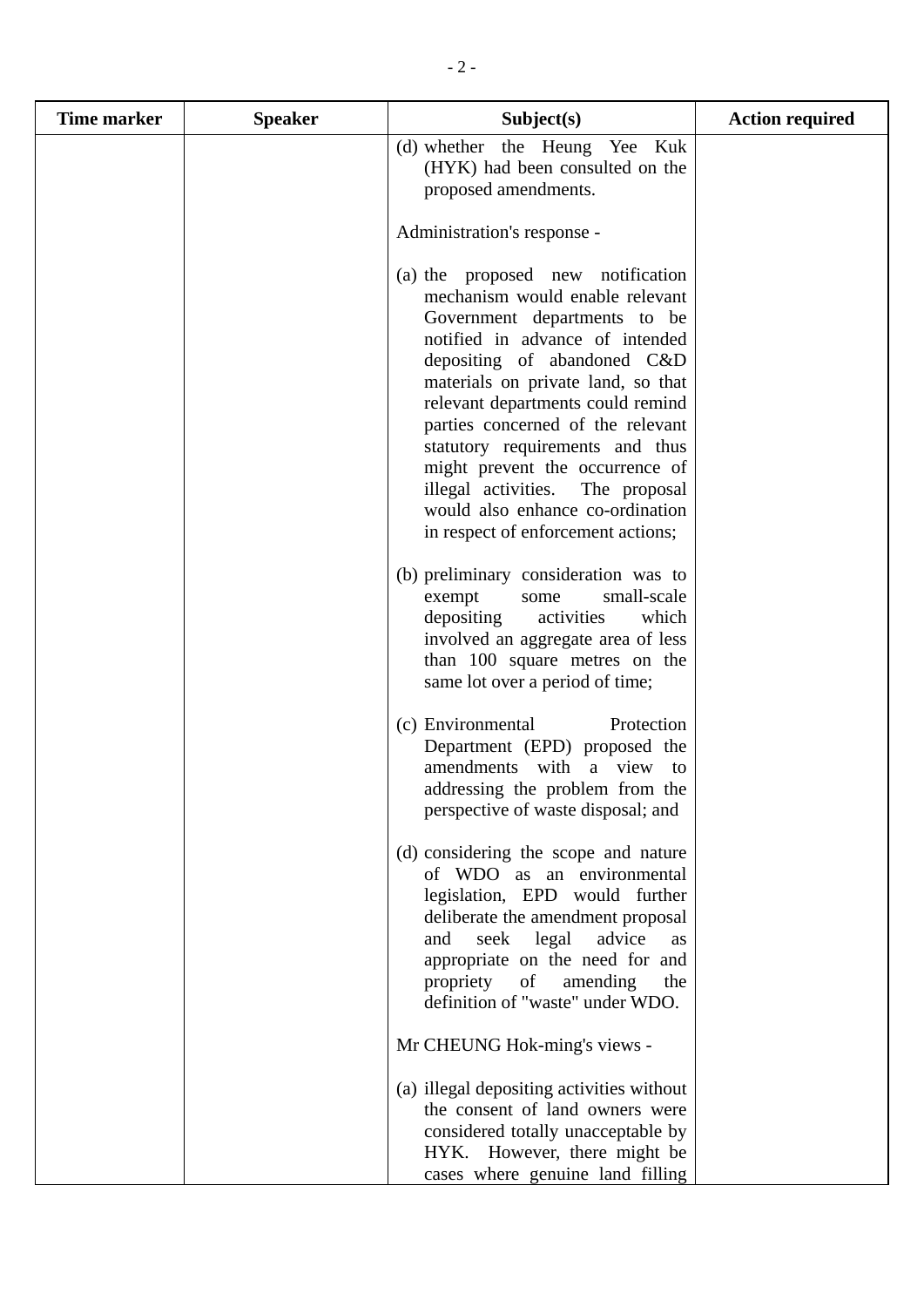| <b>Time marker</b> | <b>Speaker</b> | Subject(s)                                                                                                                                                                                                                                                                                                                                                                                                                                                                 | <b>Action required</b> |
|--------------------|----------------|----------------------------------------------------------------------------------------------------------------------------------------------------------------------------------------------------------------------------------------------------------------------------------------------------------------------------------------------------------------------------------------------------------------------------------------------------------------------------|------------------------|
|                    |                | (d) whether the Heung Yee Kuk<br>(HYK) had been consulted on the<br>proposed amendments.                                                                                                                                                                                                                                                                                                                                                                                   |                        |
|                    |                | Administration's response -                                                                                                                                                                                                                                                                                                                                                                                                                                                |                        |
|                    |                | (a) the proposed new notification<br>mechanism would enable relevant<br>Government departments to be<br>notified in advance of intended<br>depositing of abandoned C&D<br>materials on private land, so that<br>relevant departments could remind<br>parties concerned of the relevant<br>statutory requirements and thus<br>might prevent the occurrence of<br>illegal activities. The proposal<br>would also enhance co-ordination<br>in respect of enforcement actions; |                        |
|                    |                | (b) preliminary consideration was to<br>small-scale<br>exempt<br>some<br>depositing<br>activities<br>which<br>involved an aggregate area of less<br>than 100 square metres on the<br>same lot over a period of time;                                                                                                                                                                                                                                                       |                        |
|                    |                | (c) Environmental<br>Protection<br>Department (EPD) proposed the<br>amendments with a view<br>to<br>addressing the problem from the<br>perspective of waste disposal; and                                                                                                                                                                                                                                                                                                  |                        |
|                    |                | (d) considering the scope and nature<br>of WDO as an environmental<br>legislation, EPD would further<br>deliberate the amendment proposal<br>seek legal<br>advice<br>and<br>as<br>appropriate on the need for and<br>propriety of<br>amending<br>the<br>definition of "waste" under WDO.                                                                                                                                                                                   |                        |
|                    |                | Mr CHEUNG Hok-ming's views -                                                                                                                                                                                                                                                                                                                                                                                                                                               |                        |
|                    |                | (a) illegal depositing activities without<br>the consent of land owners were<br>considered totally unacceptable by<br>HYK. However, there might be<br>cases where genuine land filling                                                                                                                                                                                                                                                                                     |                        |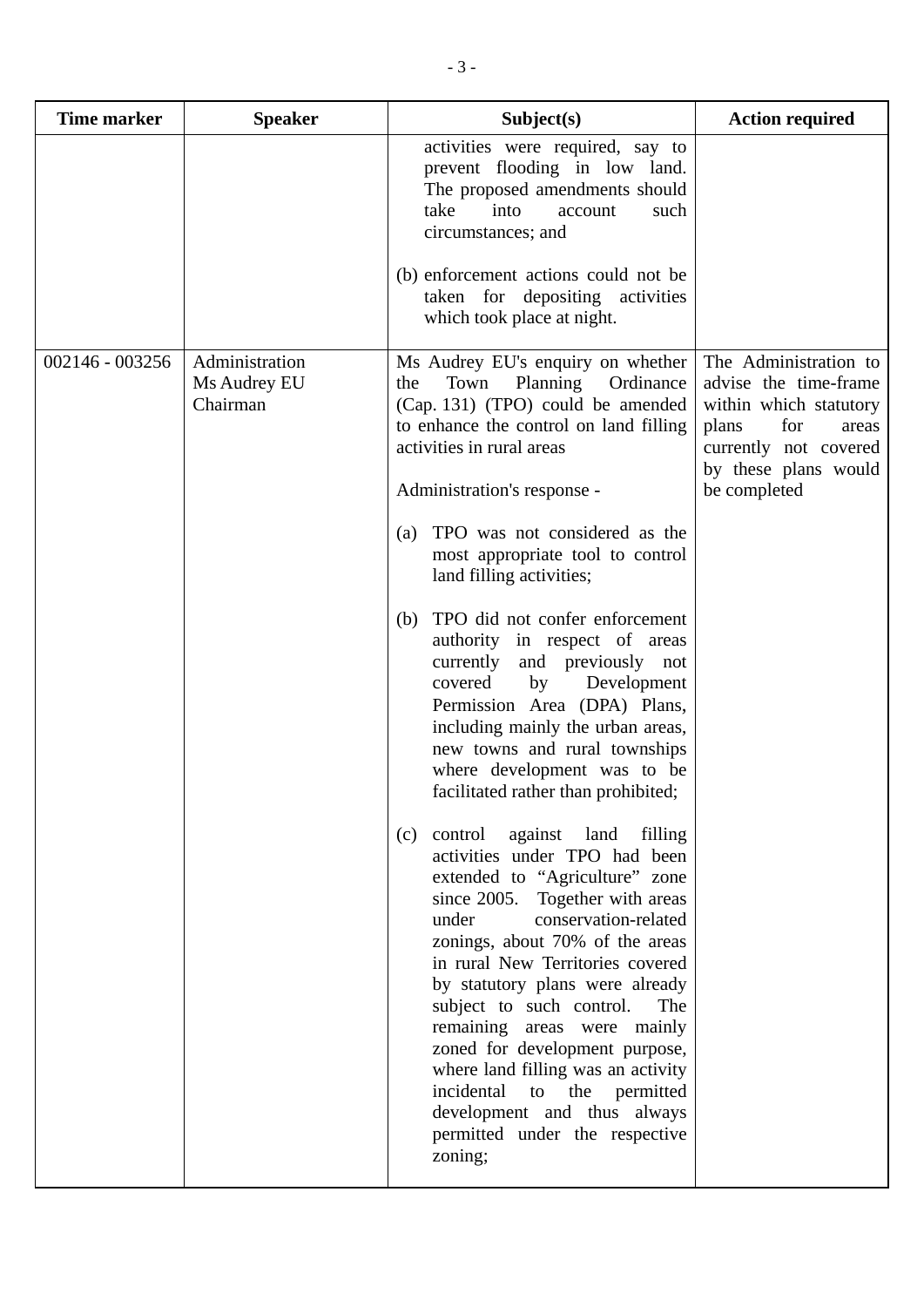| <b>Time marker</b> | <b>Speaker</b>                             | Subject(s)                                                                                                                                                                                                                                                                                                                                                                                                                                                                                                                                                                                                                                                                                                                                                                                                                                                                                                       | <b>Action required</b>                                                                                                                                             |
|--------------------|--------------------------------------------|------------------------------------------------------------------------------------------------------------------------------------------------------------------------------------------------------------------------------------------------------------------------------------------------------------------------------------------------------------------------------------------------------------------------------------------------------------------------------------------------------------------------------------------------------------------------------------------------------------------------------------------------------------------------------------------------------------------------------------------------------------------------------------------------------------------------------------------------------------------------------------------------------------------|--------------------------------------------------------------------------------------------------------------------------------------------------------------------|
|                    |                                            | activities were required, say to<br>prevent flooding in low land.<br>The proposed amendments should<br>take<br>into<br>such<br>account<br>circumstances; and<br>(b) enforcement actions could not be                                                                                                                                                                                                                                                                                                                                                                                                                                                                                                                                                                                                                                                                                                             |                                                                                                                                                                    |
|                    |                                            | taken for depositing activities<br>which took place at night.                                                                                                                                                                                                                                                                                                                                                                                                                                                                                                                                                                                                                                                                                                                                                                                                                                                    |                                                                                                                                                                    |
| 002146 - 003256    | Administration<br>Ms Audrey EU<br>Chairman | Ms Audrey EU's enquiry on whether<br>Town<br>Planning<br>Ordinance<br>the<br>(Cap. 131) (TPO) could be amended<br>to enhance the control on land filling<br>activities in rural areas<br>Administration's response -<br>TPO was not considered as the<br>(a)<br>most appropriate tool to control<br>land filling activities;<br>TPO did not confer enforcement<br>(b)<br>authority in respect of areas<br>currently<br>and previously not<br>Development<br>covered<br>by<br>Permission Area (DPA) Plans,<br>including mainly the urban areas,<br>new towns and rural townships<br>where development was to be<br>facilitated rather than prohibited;<br>control against land filling<br>(c)<br>activities under TPO had been<br>extended to "Agriculture" zone<br>since $2005$ .<br>Together with areas<br>conservation-related<br>under<br>zonings, about 70% of the areas<br>in rural New Territories covered | The Administration to<br>advise the time-frame<br>within which statutory<br>for<br>plans<br>areas<br>currently not covered<br>by these plans would<br>be completed |
|                    |                                            | by statutory plans were already<br>subject to such control.<br>The<br>remaining areas were mainly<br>zoned for development purpose,<br>where land filling was an activity<br>incidental<br>to<br>the<br>permitted<br>development and thus always<br>permitted under the respective<br>zoning;                                                                                                                                                                                                                                                                                                                                                                                                                                                                                                                                                                                                                    |                                                                                                                                                                    |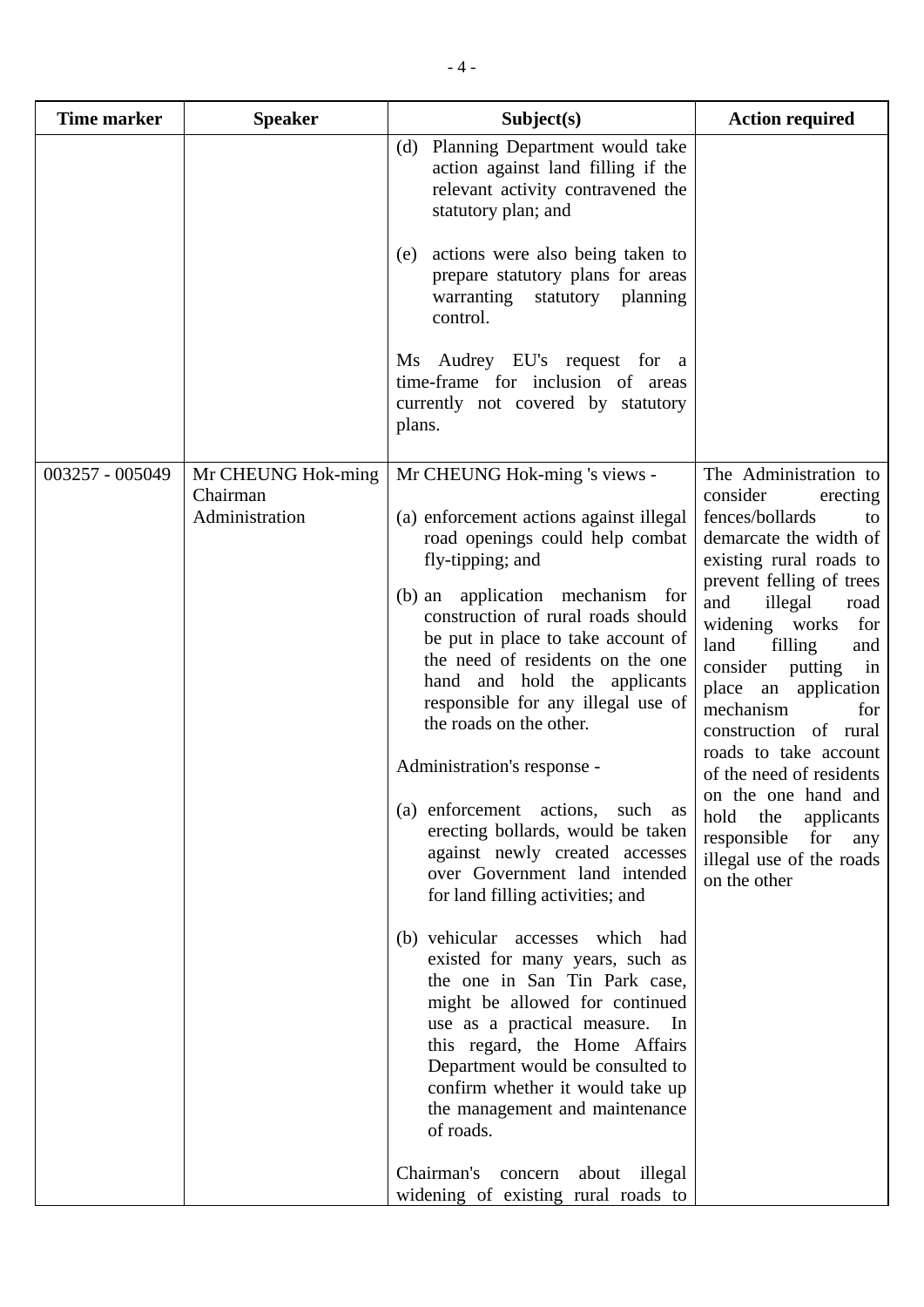| <b>Time marker</b> | <b>Speaker</b>                                   | Subject(s)                                                                                                                                                                                                                                                                                                                          | <b>Action required</b>                                                                                                                                                                                                                                                                                                                                                              |
|--------------------|--------------------------------------------------|-------------------------------------------------------------------------------------------------------------------------------------------------------------------------------------------------------------------------------------------------------------------------------------------------------------------------------------|-------------------------------------------------------------------------------------------------------------------------------------------------------------------------------------------------------------------------------------------------------------------------------------------------------------------------------------------------------------------------------------|
|                    |                                                  | Planning Department would take<br>(d)<br>action against land filling if the<br>relevant activity contravened the<br>statutory plan; and                                                                                                                                                                                             |                                                                                                                                                                                                                                                                                                                                                                                     |
|                    |                                                  | actions were also being taken to<br>(e)<br>prepare statutory plans for areas<br>statutory planning<br>warranting<br>control.                                                                                                                                                                                                        |                                                                                                                                                                                                                                                                                                                                                                                     |
|                    |                                                  | Ms Audrey EU's request for a<br>time-frame for inclusion of areas<br>currently not covered by statutory<br>plans.                                                                                                                                                                                                                   |                                                                                                                                                                                                                                                                                                                                                                                     |
| 003257 - 005049    | Mr CHEUNG Hok-ming<br>Chairman<br>Administration | Mr CHEUNG Hok-ming 's views -<br>(a) enforcement actions against illegal<br>road openings could help combat<br>fly-tipping; and                                                                                                                                                                                                     | The Administration to<br>consider<br>erecting<br>fences/bollards<br>to<br>demarcate the width of<br>existing rural roads to                                                                                                                                                                                                                                                         |
|                    |                                                  | (b) an application mechanism for<br>construction of rural roads should<br>be put in place to take account of<br>the need of residents on the one<br>hand and hold the applicants<br>responsible for any illegal use of<br>the roads on the other.                                                                                   | prevent felling of trees<br>and<br>illegal<br>road<br>widening works<br>for<br>land<br>filling<br>and<br>consider putting<br>in<br>place an application<br>mechanism<br>for<br>construction of rural<br>roads to take account<br>of the need of residents<br>on the one hand and<br>hold the<br>applicants<br>responsible<br>for<br>any<br>illegal use of the roads<br>on the other |
|                    |                                                  | Administration's response -<br>(a) enforcement actions, such as<br>erecting bollards, would be taken<br>against newly created accesses<br>over Government land intended<br>for land filling activities; and                                                                                                                         |                                                                                                                                                                                                                                                                                                                                                                                     |
|                    |                                                  | (b) vehicular accesses which had<br>existed for many years, such as<br>the one in San Tin Park case,<br>might be allowed for continued<br>use as a practical measure.<br>In<br>this regard, the Home Affairs<br>Department would be consulted to<br>confirm whether it would take up<br>the management and maintenance<br>of roads. |                                                                                                                                                                                                                                                                                                                                                                                     |
|                    |                                                  | Chairman's<br>concern<br>about illegal<br>widening of existing rural roads to                                                                                                                                                                                                                                                       |                                                                                                                                                                                                                                                                                                                                                                                     |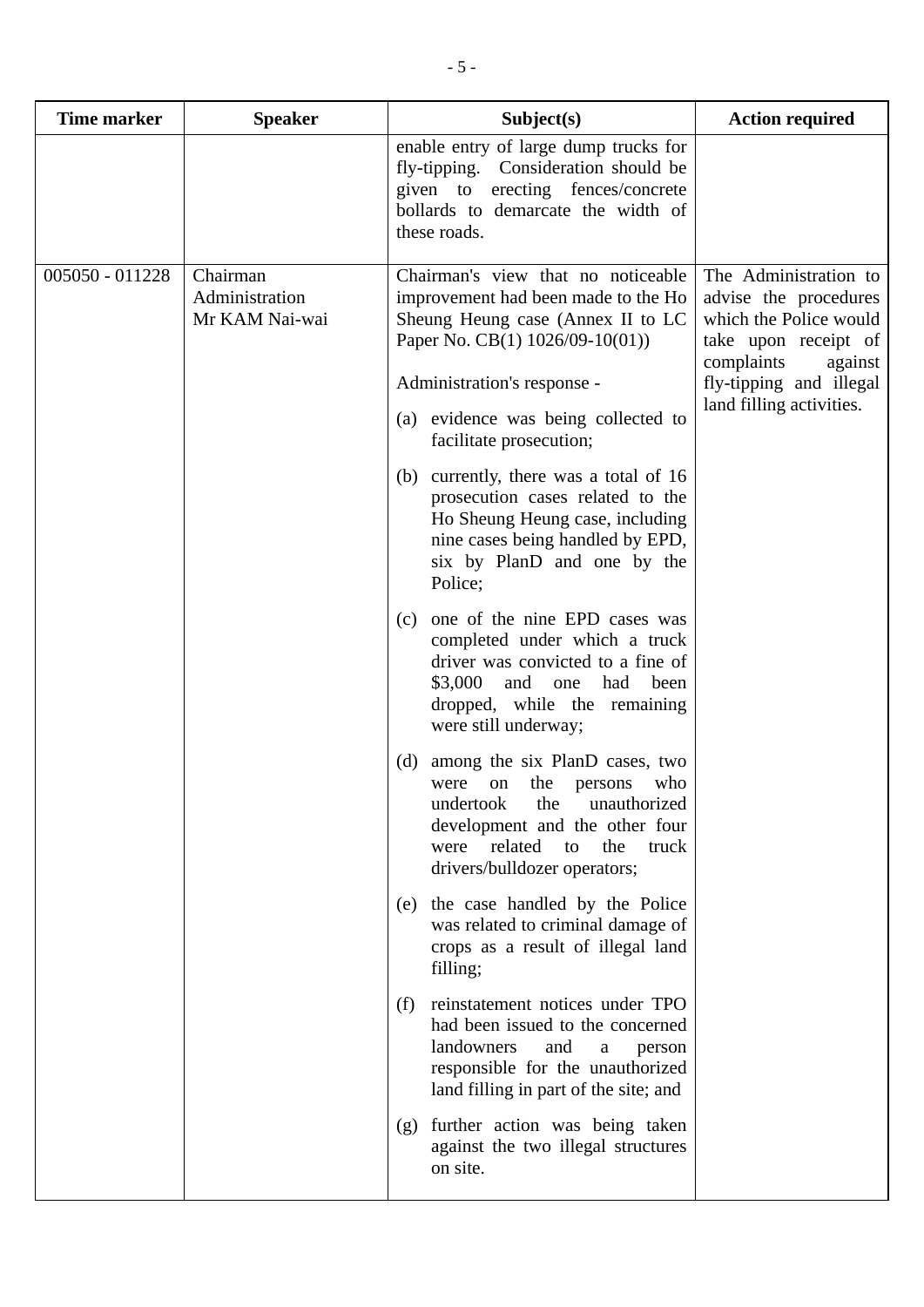| <b>Time marker</b> | <b>Speaker</b>                               | Subject(s)                                                                                                                                                                                                                                                                                                                                                                                                                                                                                                                                                                                                                                                                                                                                                                                                                                                                                                                                                                                                                                                                                                                                                                                                                                                                                                                 | <b>Action required</b>                                                                                                                                                           |
|--------------------|----------------------------------------------|----------------------------------------------------------------------------------------------------------------------------------------------------------------------------------------------------------------------------------------------------------------------------------------------------------------------------------------------------------------------------------------------------------------------------------------------------------------------------------------------------------------------------------------------------------------------------------------------------------------------------------------------------------------------------------------------------------------------------------------------------------------------------------------------------------------------------------------------------------------------------------------------------------------------------------------------------------------------------------------------------------------------------------------------------------------------------------------------------------------------------------------------------------------------------------------------------------------------------------------------------------------------------------------------------------------------------|----------------------------------------------------------------------------------------------------------------------------------------------------------------------------------|
|                    |                                              | enable entry of large dump trucks for<br>fly-tipping. Consideration should be<br>given to erecting fences/concrete<br>bollards to demarcate the width of<br>these roads.                                                                                                                                                                                                                                                                                                                                                                                                                                                                                                                                                                                                                                                                                                                                                                                                                                                                                                                                                                                                                                                                                                                                                   |                                                                                                                                                                                  |
| 005050 - 011228    | Chairman<br>Administration<br>Mr KAM Nai-wai | Chairman's view that no noticeable<br>improvement had been made to the Ho<br>Sheung Heung case (Annex II to LC<br>Paper No. CB(1) $1026/09-10(01)$ )<br>Administration's response -<br>(a) evidence was being collected to<br>facilitate prosecution;<br>(b) currently, there was a total of 16<br>prosecution cases related to the<br>Ho Sheung Heung case, including<br>nine cases being handled by EPD,<br>six by PlanD and one by the<br>Police;<br>one of the nine EPD cases was<br>(c)<br>completed under which a truck<br>driver was convicted to a fine of<br>and<br>\$3,000<br>had<br>been<br>one<br>dropped, while the remaining<br>were still underway;<br>(d)<br>among the six PlanD cases, two<br>the<br>who<br>on<br>persons<br>were<br>undertook<br>the<br>unauthorized<br>development and the other four<br>related<br>were<br>the<br>truck<br>to<br>drivers/bulldozer operators;<br>the case handled by the Police<br>(e)<br>was related to criminal damage of<br>crops as a result of illegal land<br>filling;<br>reinstatement notices under TPO<br>(f)<br>had been issued to the concerned<br>landowners<br>and<br>a<br>person<br>responsible for the unauthorized<br>land filling in part of the site; and<br>further action was being taken<br>(g)<br>against the two illegal structures<br>on site. | The Administration to<br>advise the procedures<br>which the Police would<br>take upon receipt of<br>complaints<br>against<br>fly-tipping and illegal<br>land filling activities. |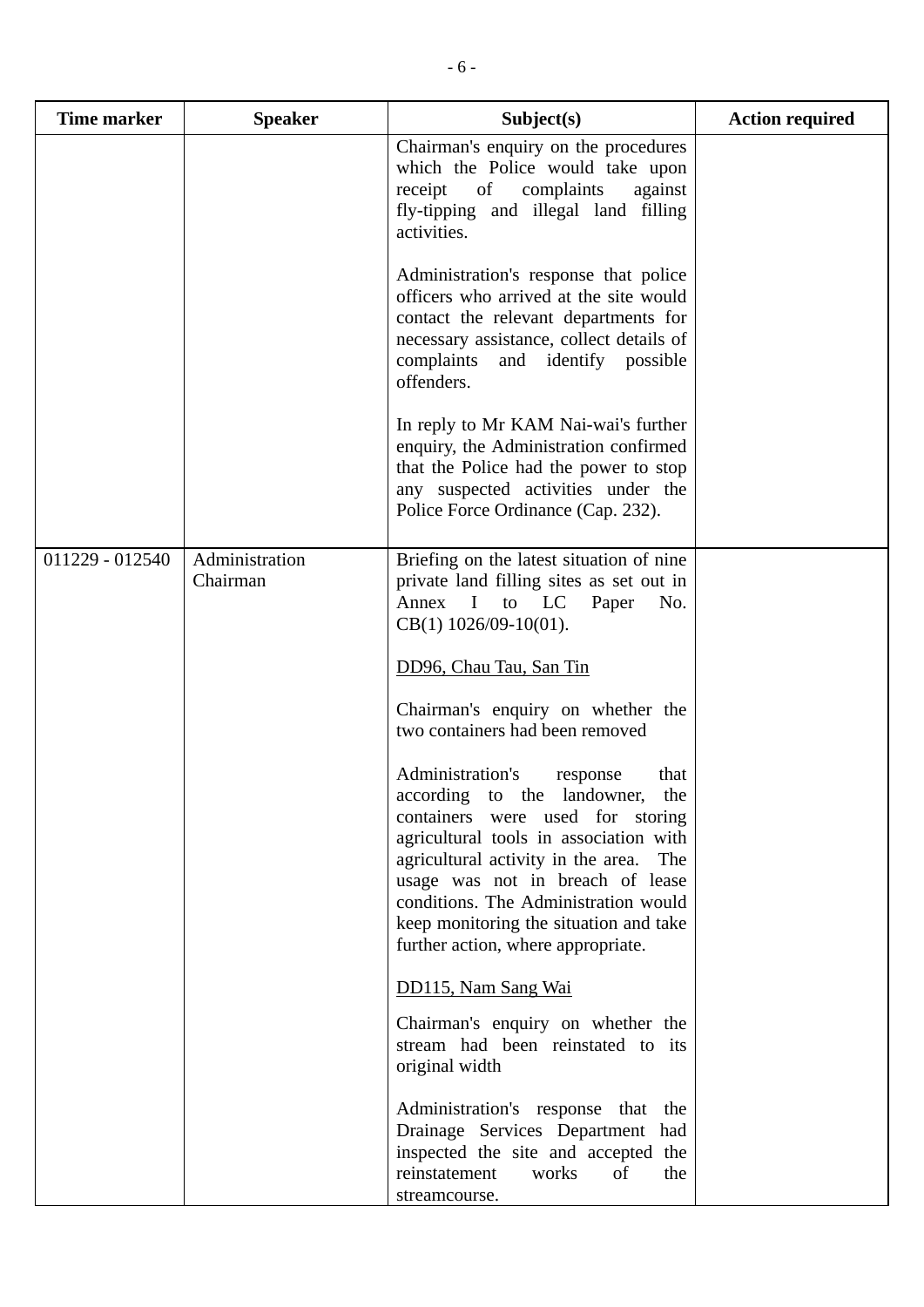| Time marker     | <b>Speaker</b>             | Subject(s)                                                                                                                                                                                                                                                                                                                                                     | <b>Action required</b> |
|-----------------|----------------------------|----------------------------------------------------------------------------------------------------------------------------------------------------------------------------------------------------------------------------------------------------------------------------------------------------------------------------------------------------------------|------------------------|
|                 |                            | Chairman's enquiry on the procedures<br>which the Police would take upon<br>receipt of complaints<br>against<br>fly-tipping and illegal land filling<br>activities.                                                                                                                                                                                            |                        |
|                 |                            | Administration's response that police<br>officers who arrived at the site would<br>contact the relevant departments for<br>necessary assistance, collect details of<br>complaints and identify possible<br>offenders.                                                                                                                                          |                        |
|                 |                            | In reply to Mr KAM Nai-wai's further<br>enquiry, the Administration confirmed<br>that the Police had the power to stop<br>any suspected activities under the<br>Police Force Ordinance (Cap. 232).                                                                                                                                                             |                        |
| 011229 - 012540 | Administration<br>Chairman | Briefing on the latest situation of nine<br>private land filling sites as set out in<br>Annex I to LC<br>Paper<br>No.<br>$CB(1)$ 1026/09-10(01).                                                                                                                                                                                                               |                        |
|                 |                            | DD96, Chau Tau, San Tin                                                                                                                                                                                                                                                                                                                                        |                        |
|                 |                            | Chairman's enquiry on whether the<br>two containers had been removed                                                                                                                                                                                                                                                                                           |                        |
|                 |                            | Administration's<br>that<br>response<br>according to the landowner, the<br>containers were used for storing<br>agricultural tools in association with<br>agricultural activity in the area.<br>The<br>usage was not in breach of lease<br>conditions. The Administration would<br>keep monitoring the situation and take<br>further action, where appropriate. |                        |
|                 |                            | DD115, Nam Sang Wai                                                                                                                                                                                                                                                                                                                                            |                        |
|                 |                            | Chairman's enquiry on whether the<br>stream had been reinstated to its<br>original width                                                                                                                                                                                                                                                                       |                        |
|                 |                            | Administration's response that the<br>Drainage Services Department had<br>inspected the site and accepted the<br>reinstatement<br>of<br>works<br>the<br>streamcourse.                                                                                                                                                                                          |                        |